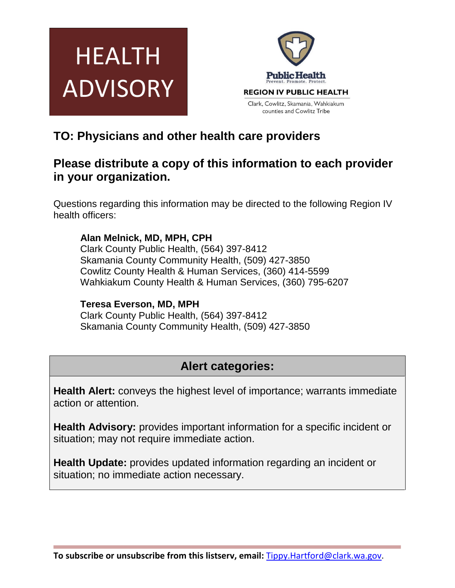



# **TO: Physicians and other health care providers**

## **Please distribute a copy of this information to each provider in your organization.**

Questions regarding this information may be directed to the following Region IV health officers:

### **Alan Melnick, MD, MPH, CPH**

Clark County Public Health, (564) 397-8412 Skamania County Community Health, (509) 427-3850 Cowlitz County Health & Human Services, (360) 414-5599 Wahkiakum County Health & Human Services, (360) 795-6207

#### **Teresa Everson, MD, MPH**

Clark County Public Health, (564) 397-8412 Skamania County Community Health, (509) 427-3850

# **Alert categories:**

**Health Alert:** conveys the highest level of importance; warrants immediate action or attention.

**Health Advisory:** provides important information for a specific incident or situation; may not require immediate action.

**Health Update:** provides updated information regarding an incident or situation; no immediate action necessary.